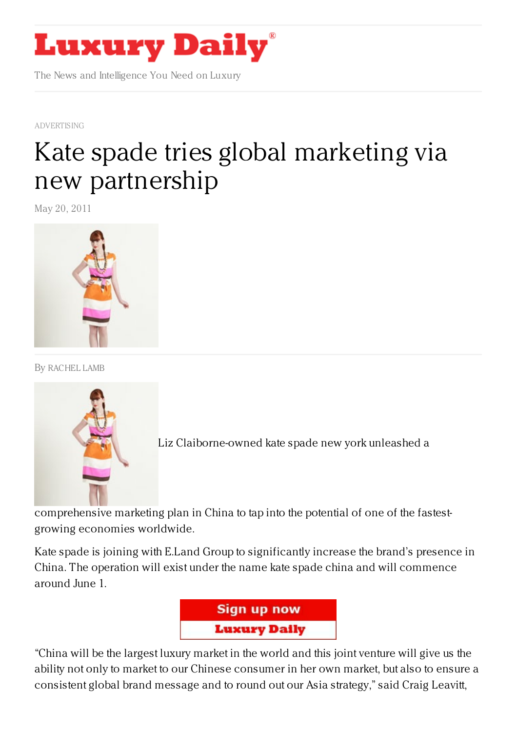

The News and Intelligence You Need on Luxury

[ADVERTISING](https://www.luxurydaily.com/category/news/advertising/)

## Kate spade tries global marketing via new [partnership](https://www.luxurydaily.com/kate-spade-tries-global-marketing-via-new-partnership/)

May 20, 2011



By [RACHEL](/author/rachel-lamb) LAMB



[L](https://www.luxurydaily.com/wp-content/uploads/2011/05/kate-spade-model-185.jpg)iz Claiborne-owned kate spade new york unleashed a

comprehensive marketing plan in China to tap into the potential of one of the fastestgrowing economies worldwide.

Kate spade is joining with E.Land Group to significantly increase the brand's presence in China. The operation will exist under the name kate spade china and will commence around June 1.



"China will be the largest luxury market in the world and this joint venture will give us the ability not only to market to our Chinese consumer in her own market, but also to ensure a consistent global brand message and to round out our Asia strategy," said Craig Leavitt,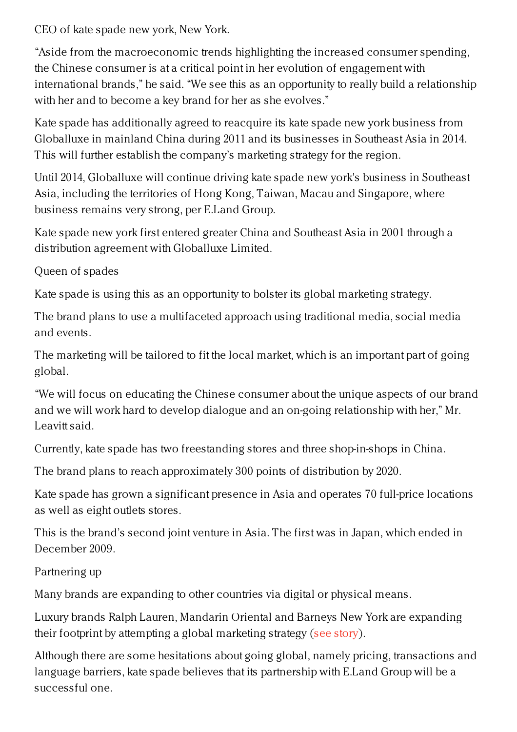CEO of kate spade new york, New York.

"Aside from the macroeconomic trends highlighting the increased consumer spending, the Chinese consumer is at a critical point in her evolution of engagement with international brands," he said. "We see this as an opportunity to really build a relationship with her and to become a key brand for her as she evolves."

Kate spade has additionally agreed to reacquire its kate spade new york business from Globalluxe in mainland China during 2011 and its businesses in Southeast Asia in 2014. This will further establish the company's marketing strategy for the region.

Until 2014, Globalluxe will continue driving kate spade new york's business in Southeast Asia, including the territories of Hong Kong, Taiwan, Macau and Singapore, where business remains very strong, per E.Land Group.

Kate spade new york first entered greater China and Southeast Asia in 2001 through a distribution agreement with Globalluxe Limited.

Queen of spades

Kate spade is using this as an opportunity to bolster its global marketing strategy.

The brand plans to use a multifaceted approach using traditional media, social media and events.

The marketing will be tailored to fit the local market, which is an important part of going global.

"We will focus on educating the Chinese consumer about the unique aspects of our brand and we will work hard to develop dialogue and an on-going relationship with her," Mr. Leavitt said.

Currently, kate spade has two freestanding stores and three shop-in-shops in China.

The brand plans to reach approximately 300 points of distribution by 2020.

Kate spade has grown a significant presence in Asia and operates 70 full-price locations as well as eight outlets stores.

This is the brand's second joint venture in Asia. The first was in Japan, which ended in December 2009.

Partnering up

Many brands are expanding to other countries via digital or physical means.

Luxury brands Ralph Lauren, Mandarin Oriental and Barneys New York are expanding their footprint by attempting a global marketing strategy (see [story](https://www.luxurydaily.com/best-practice-for-luxury-brands-going-global/)).

Although there are some hesitations about going global, namely pricing, transactions and language barriers, kate spade believes that its partnership with E.Land Group will be a successful one.